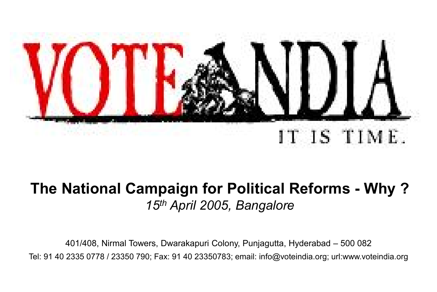

#### The National Campaign for Political Reforms - Why ? *15th April 2005, Bangalore*

401/408, Nirmal Towers, Dwarakapuri Colony, Punjagutta, Hyderabad – 500 082 Tel: 91 40 2335 0778 / 23350 790; Fax: 91 40 23350783; email: info@voteindia.org; url:www.voteindia.org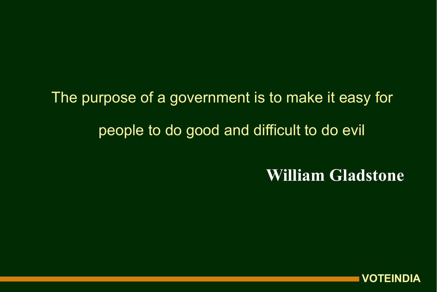The purpose of a government is to make it easy for people to do good and difficult to do evil

William Gladstone

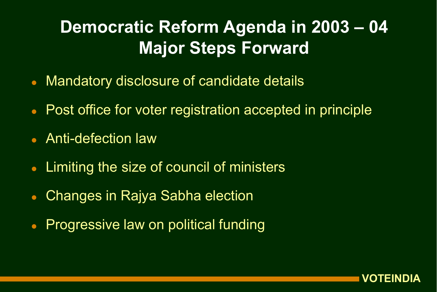## Democratic Reform Agenda in 2003 – 04 Major Steps Forward

- Mandatory disclosure of candidate details
- Post office for voter registration accepted in principle
- Anti-defection law
- Limiting the size of council of ministers
- Changes in Rajya Sabha election
- **Progressive law on political funding**

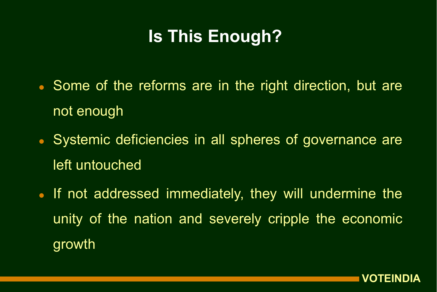## Is This Enough?

- Some of the reforms are in the right direction, but are not enough
- Systemic deficiencies in all spheres of governance are left untouched
- If not addressed immediately, they will undermine the unity of the nation and severely cripple the economic growth

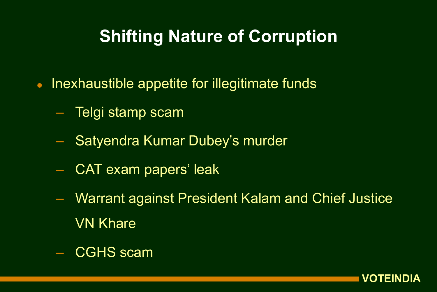#### Shifting Nature of Corruption

- Inexhaustible appetite for illegitimate funds
	- Telgi stamp scam
	- Satyendra Kumar Dubey's murder
	- CAT exam papers' leak
	- Warrant against President Kalam and Chief Justice VN Khare
	- CGHS scam

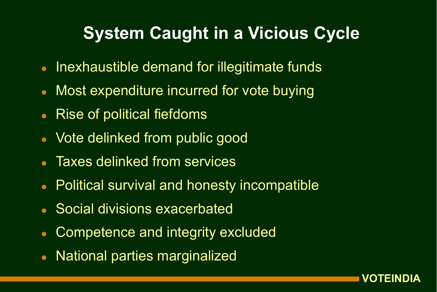#### System Caught in a Vicious Cycle

- Inexhaustible demand for illegitimate funds
- Most expenditure incurred for vote buying
- Rise of political fiefdoms
- Vote delinked from public good
- Taxes delinked from services
- Political survival and honesty incompatible
- Social divisions exacerbated
- Competence and integrity excluded
- National parties marginalized

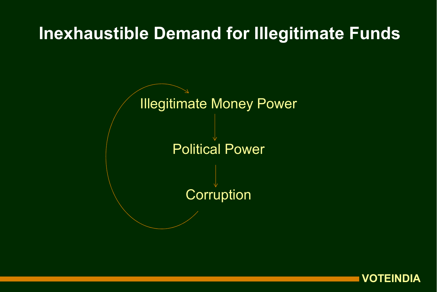#### Inexhaustible Demand for Illegitimate Funds



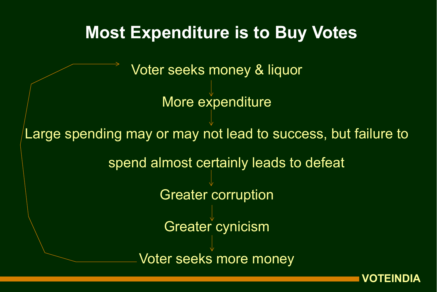

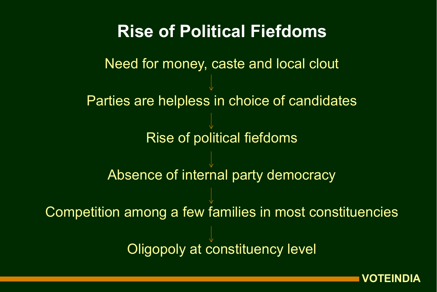#### Rise of Political Fiefdoms

Need for money, caste and local clout Parties are helpless in choice of candidates Rise of political fiefdoms Absence of internal party democracy Competition among a few families in most constituencies **Oligopoly at constituency level** 

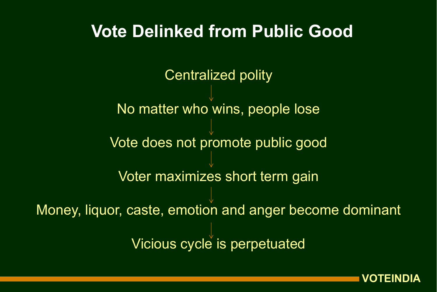#### Vote Delinked from Public Good

Centralized polity

No matter who wins, people lose

Vote does not promote public good

Voter maximizes short term gain

Money, liquor, caste, emotion and anger become dominant Vicious cycle is perpetuated

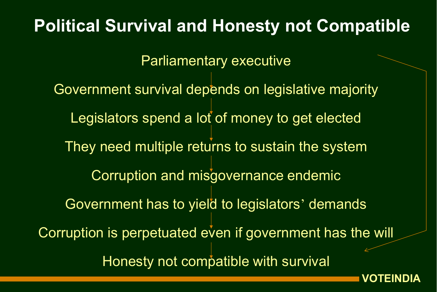## Parliamentary executive Government survival depends on legislative majority Legislators spend a lot of money to get elected They need multiple returns to sustain the system Corruption and misgovernance endemic Government has to yield to legislators' demands Corruption is perpetuated even if government has the will Honesty not compatible with survival Political Survival and Honesty not Compatible

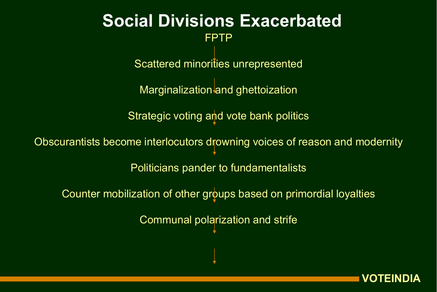#### FPTP Social Divisions Exacerbated

Scattered minorities unrepresented

Marginalization and ghettoization

Strategic voting and vote bank politics

Obscurantists become interlocutors drowning voices of reason and modernity Politicians pander to fundamentalists

Counter mobilization of other groups based on primordial loyalties

Communal polarization and strife

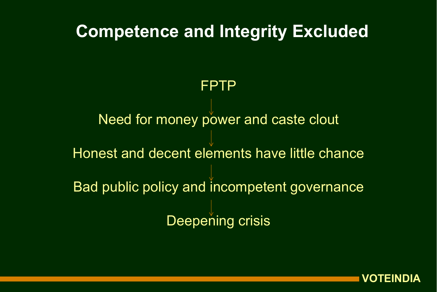# FPTP Need for money power and caste clout Honest and decent elements have little chance Bad public policy and incompetent governance Competence and Integrity Excluded

Deepening crisis

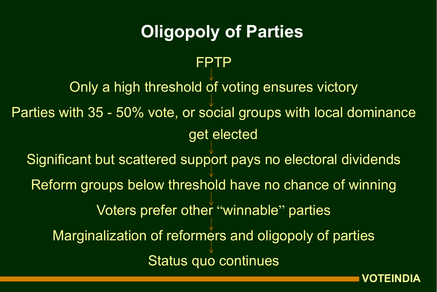### Oligopoly of Parties

FPTP

Only a high threshold of voting ensures victory Parties with 35 - 50% vote, or social groups with local dominance get elected Significant but scattered support pays no electoral dividends Reform groups below threshold have no chance of winning Voters prefer other "winnable" parties Marginalization of reformers and oligopoly of parties Status quo continues

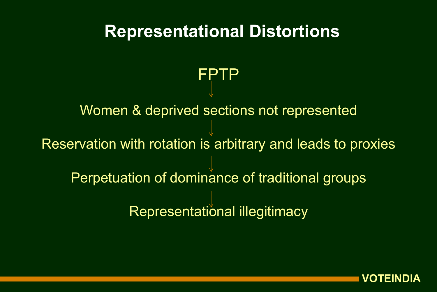## FPTP Women & deprived sections not represented Reservation with rotation is arbitrary and leads to proxies Perpetuation of dominance of traditional groups Representational illegitimacy Representational Distortions

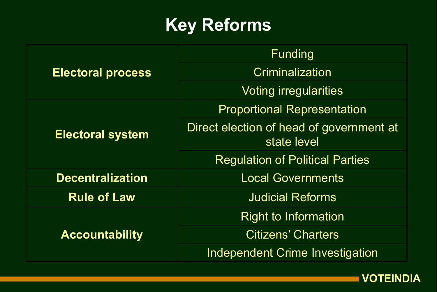## Key Reforms

| <b>Electoral process</b> | Funding                                                 |
|--------------------------|---------------------------------------------------------|
|                          | Criminalization                                         |
|                          | <b>Voting irregularities</b>                            |
| <b>Electoral system</b>  | <b>Proportional Representation</b>                      |
|                          | Direct election of head of government at<br>state level |
|                          | <b>Regulation of Political Parties</b>                  |
| <b>Decentralization</b>  | <b>Local Governments</b>                                |
| <b>Rule of Law</b>       | <b>Judicial Reforms</b>                                 |
| <b>Accountability</b>    | <b>Right to Information</b>                             |
|                          | <b>Citizens' Charters</b>                               |
|                          | <b>Independent Crime Investigation</b>                  |

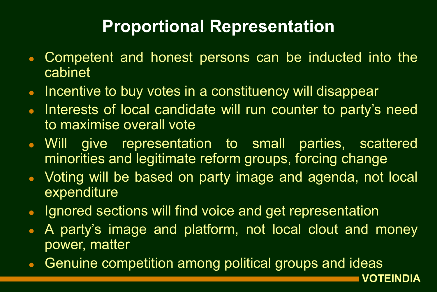## Proportional Representation

- Competent and honest persons can be inducted into the cabinet
- Incentive to buy votes in a constituency will disappear
- Interests of local candidate will run counter to party's need to maximise overall vote
- Will give representation to small parties, scattered minorities and legitimate reform groups, forcing change
- Voting will be based on party image and agenda, not local expenditure
- Ignored sections will find voice and get representation
- A party's image and platform, not local clout and money power, matter

VOTEINDIA

Genuine competition among political groups and ideas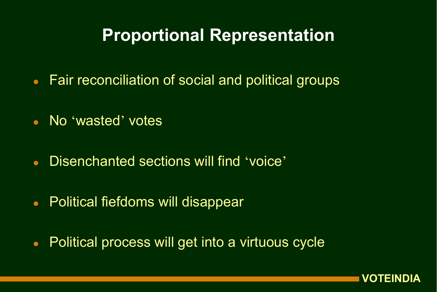#### Proportional Representation

- Fair reconciliation of social and political groups
- No 'wasted' votes
- Disenchanted sections will find 'voice'
- Political fiefdoms will disappear
- Political process will get into a virtuous cycle

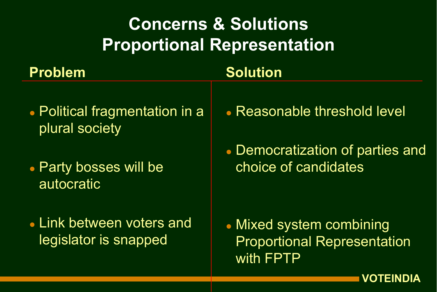## Concerns & Solutions Proportional Representation

#### Problem

#### Solution

- Political fragmentation in a plural society
- Party bosses will be autocratic
- Link between voters and legislator is snapped
- Reasonable threshold level
- Democratization of parties and choice of candidates

 Mixed system combining Proportional Representation with FPTP

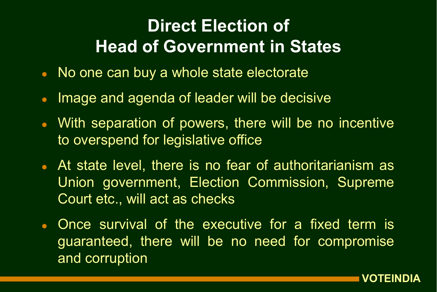## Direct Election of Head of Government in States

- No one can buy a whole state electorate
- Image and agenda of leader will be decisive
- With separation of powers, there will be no incentive to overspend for legislative office
- At state level, there is no fear of authoritarianism as Union government, Election Commission, Supreme Court etc., will act as checks
- Once survival of the executive for a fixed term is guaranteed, there will be no need for compromise and corruption

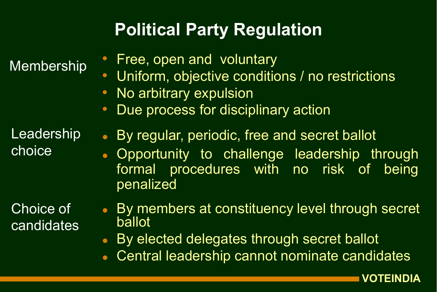## Political Party Regulation

Membership

- Free, open and voluntary
- Uniform, objective conditions / no restrictions
- **No arbitrary expulsion**
- Due process for disciplinary action

Leadership choice

Choice of candidates

- By regular, periodic, free and secret ballot
- Opportunity to challenge leadership through formal procedures with no risk of being penalized
- By members at constituency level through secret ballot
- By elected delegates through secret ballot
- Central leadership cannot nominate candidates

VOTEINDIA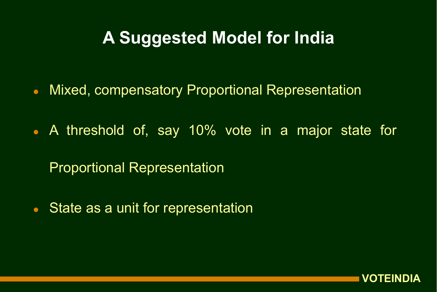#### A Suggested Model for India

- Mixed, compensatory Proportional Representation
- A threshold of, say 10% vote in a major state for

Proportional Representation

• State as a unit for representation

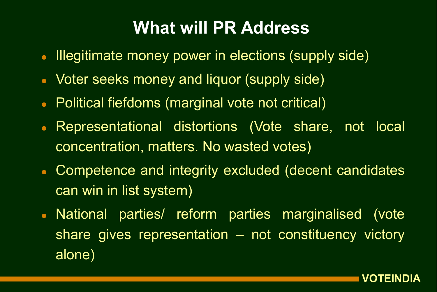#### What will PR Address

- Illegitimate money power in elections (supply side)
- **Voter seeks money and liquor (supply side)**
- Political fiefdoms (marginal vote not critical)
- Representational distortions (Vote share, not local concentration, matters. No wasted votes)
- Competence and integrity excluded (decent candidates can win in list system)
- National parties/ reform parties marginalised (vote share gives representation – not constituency victory alone)

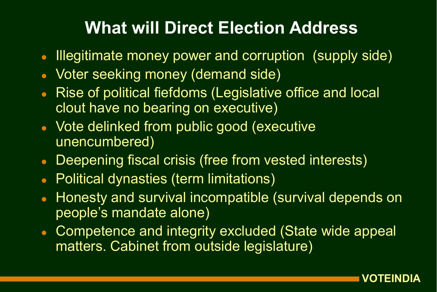#### What will Direct Election Address

- Illegitimate money power and corruption (supply side)
- Voter seeking money (demand side)
- Rise of political fiefdoms (Legislative office and local clout have no bearing on executive)
- Vote delinked from public good (executive unencumbered)
- **Deepening fiscal crisis (free from vested interests)**
- Political dynasties (term limitations)
- Honesty and survival incompatible (survival depends on people's mandate alone)
- Competence and integrity excluded (State wide appeal matters. Cabinet from outside legislature)

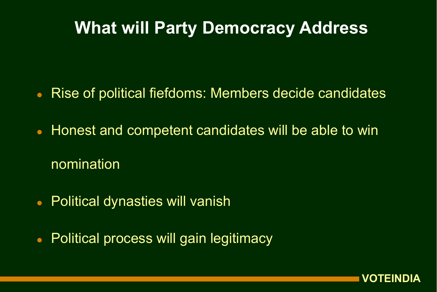#### What will Party Democracy Address

- Rise of political fiefdoms: Members decide candidates
- Honest and competent candidates will be able to win nomination
- Political dynasties will vanish
- Political process will gain legitimacy

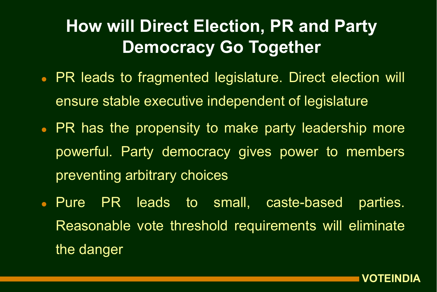## How will Direct Election, PR and Party Democracy Go Together

- PR leads to fragmented legislature. Direct election will ensure stable executive independent of legislature
- PR has the propensity to make party leadership more powerful. Party democracy gives power to members preventing arbitrary choices
- **Pure PR leads to small, caste-based parties.** Reasonable vote threshold requirements will eliminate the danger

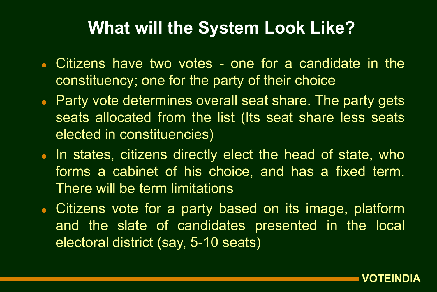#### What will the System Look Like?

- Citizens have two votes one for a candidate in the constituency; one for the party of their choice
- Party vote determines overall seat share. The party gets seats allocated from the list (Its seat share less seats elected in constituencies)
- In states, citizens directly elect the head of state, who forms a cabinet of his choice, and has a fixed term. There will be term limitations
- Citizens vote for a party based on its image, platform and the slate of candidates presented in the local electoral district (say, 5-10 seats)

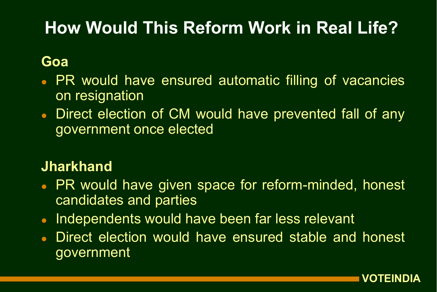## How Would This Reform Work in Real Life?

#### Goa

- PR would have ensured automatic filling of vacancies on resignation
- Direct election of CM would have prevented fall of any government once elected

#### **Jharkhand**

- PR would have given space for reform-minded, honest candidates and parties
- Independents would have been far less relevant
- Direct election would have ensured stable and honest government

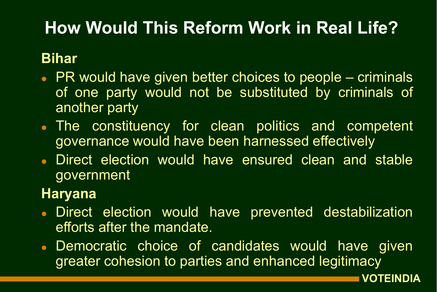## How Would This Reform Work in Real Life?

#### Bihar

- PR would have given better choices to people criminals of one party would not be substituted by criminals of another party
- The constituency for clean politics and competent governance would have been harnessed effectively
- Direct election would have ensured clean and stable government

#### Haryana

- **Direct election would have prevented destabilization** efforts after the mandate.
- Democratic choice of candidates would have given greater cohesion to parties and enhanced legitimacy

VOTEINDIA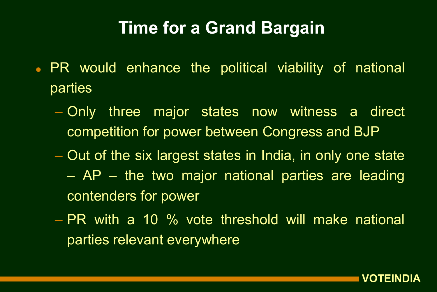#### Time for a Grand Bargain

- PR would enhance the political viability of national parties
	- Only three major states now witness a direct competition for power between Congress and BJP
	- Out of the six largest states in India, in only one state
		- AP the two major national parties are leading contenders for power
	- PR with a 10 % vote threshold will make national parties relevant everywhere

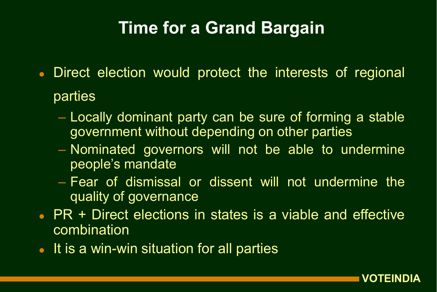#### Time for a Grand Bargain

- Direct election would protect the interests of regional parties
	- Locally dominant party can be sure of forming a stable government without depending on other parties
	- Nominated governors will not be able to undermine people's mandate
	- Fear of dismissal or dissent will not undermine the quality of governance
- PR + Direct elections in states is a viable and effective **combination**
- It is a win-win situation for all parties

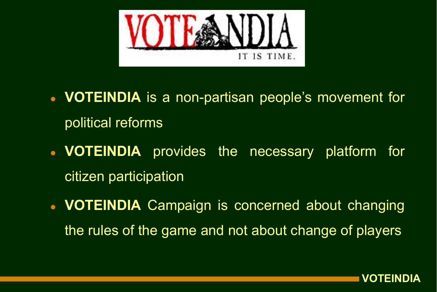

- VOTEINDIA is a non-partisan people's movement for political reforms
- VOTEINDIA provides the necessary platform for citizen participation
- VOTEINDIA Campaign is concerned about changing the rules of the game and not about change of players

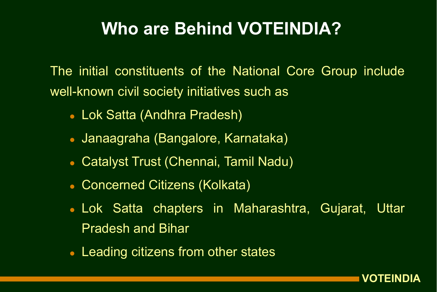#### Who are Behind VOTEINDIA?

The initial constituents of the National Core Group include well-known civil society initiatives such as

- Lok Satta (Andhra Pradesh)
- Janaagraha (Bangalore, Karnataka)
- Catalyst Trust (Chennai, Tamil Nadu)
- Concerned Citizens (Kolkata)
- Lok Satta chapters in Maharashtra, Gujarat, Uttar Pradesh and Bihar
- Leading citizens from other states

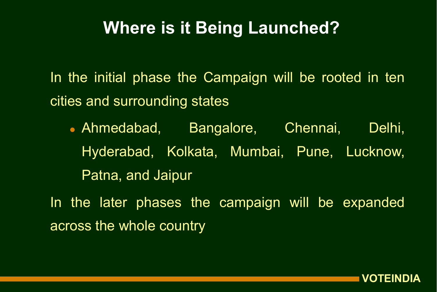#### Where is it Being Launched?

In the initial phase the Campaign will be rooted in ten cities and surrounding states

 Ahmedabad, Bangalore, Chennai, Delhi, Hyderabad, Kolkata, Mumbai, Pune, Lucknow, Patna, and Jaipur

In the later phases the campaign will be expanded across the whole country

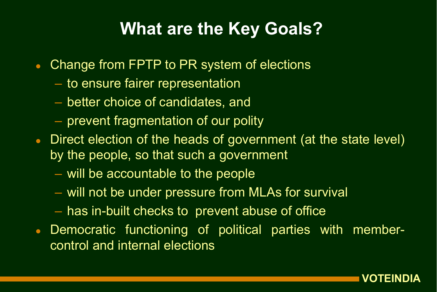#### What are the Key Goals?

- Change from FPTP to PR system of elections
	- to ensure fairer representation
	- better choice of candidates, and
	- prevent fragmentation of our polity
- Direct election of the heads of government (at the state level) by the people, so that such a government
	- will be accountable to the people
	- will not be under pressure from MLAs for survival
	- has in-built checks to prevent abuse of office
- Democratic functioning of political parties with membercontrol and internal elections

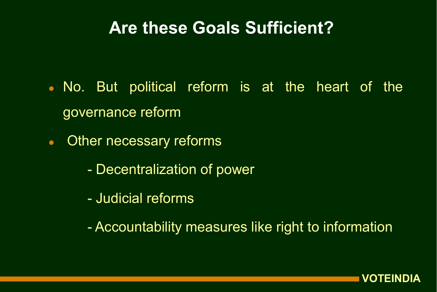#### Are these Goals Sufficient?

- No. But political reform is at the heart of the governance reform
- Other necessary reforms
	- Decentralization of power
	- Judicial reforms
	- Accountability measures like right to information

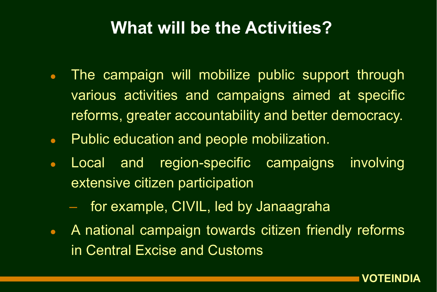#### What will be the Activities?

- The campaign will mobilize public support through various activities and campaigns aimed at specific reforms, greater accountability and better democracy.
- **Public education and people mobilization.**
- Local and region-specific campaigns involving extensive citizen participation
	- for example, CIVIL, led by Janaagraha
- A national campaign towards citizen friendly reforms in Central Excise and Customs

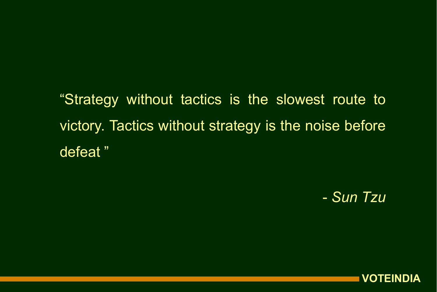"Strategy without tactics is the slowest route to victory. Tactics without strategy is the noise before defeat "

- *Sun Tzu*